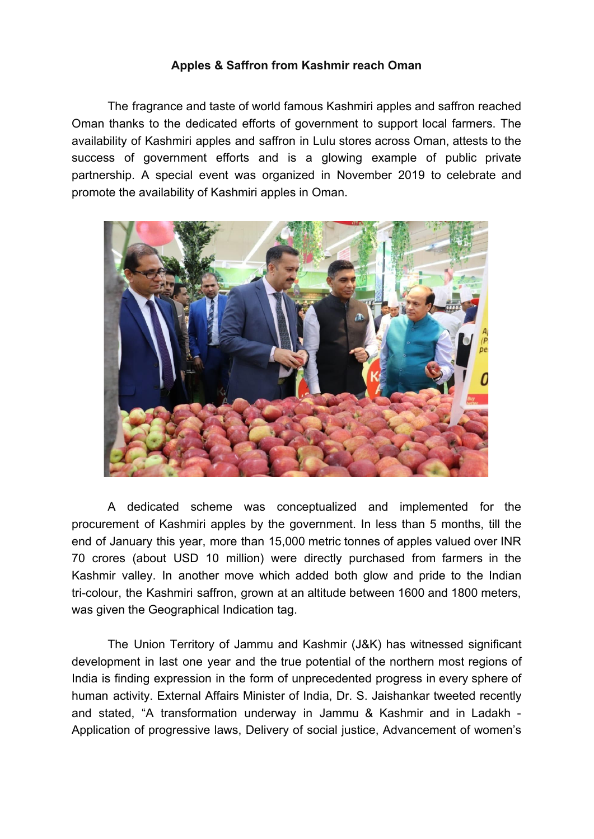## **Apples & Saffron from Kashmir reach Oman**

The fragrance and taste of world famous Kashmiri apples and saffron reached Oman thanks to the dedicated efforts of government to support local farmers. The availability of Kashmiri apples and saffron in Lulu stores across Oman, attests to the success of government efforts and is a glowing example of public private partnership. A special event was organized in November 2019 to celebrate and promote the availability of Kashmiri apples in Oman.



A dedicated scheme was conceptualized and implemented for the procurement of Kashmiri apples by the government. In less than 5 months, till the end of January this year, more than 15,000 metric tonnes of apples valued over INR 70 crores (about USD 10 million) were directly purchased from farmers in the Kashmir valley. In another move which added both glow and pride to the Indian tri-colour, the Kashmiri saffron, grown at an altitude between 1600 and 1800 meters, was given the Geographical Indication tag.

The Union Territory of Jammu and Kashmir (J&K) has witnessed significant development in last one year and the true potential of the northern most regions of India is finding expression in the form of unprecedented progress in every sphere of human activity. External Affairs Minister of India, Dr. S. Jaishankar tweeted recently and stated, "A transformation underway in Jammu & Kashmir and in Ladakh - Application of progressive laws, Delivery of social justice, Advancement of women's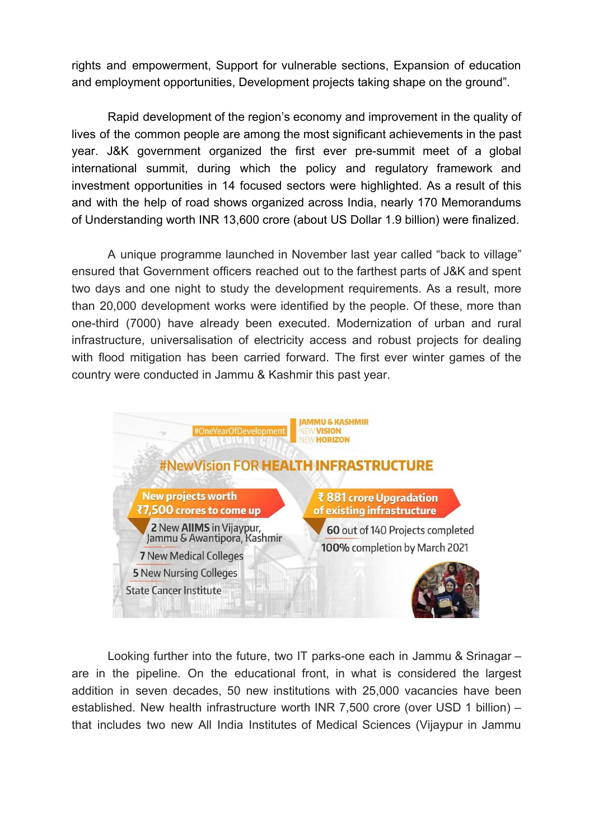rights and empowerment, Support for vulnerable sections, Expansion of education and employment opportunities, Development projects taking shape on the ground".

Rapid development of the region's economy and improvement in the quality of lives of the common people are among the most significant achievements in the past year. J&K government organized the first ever pre-summit meet of a global international summit, during which the policy and regulatory framework and investment opportunities in 14 focused sectors were highlighted. As a result of this and with the help of road shows organized across India, nearly 170 Memorandums of Understanding worth INR 13,600 crore (about US Dollar 1.9 billion) were finalized.

A unique programme launched in November last year called "back to village" ensured that Government officers reached out to the farthest parts of J&K and spent two days and one night to study the development requirements. As a result, more than 20,000 development works were identified by the people. Of these, more than one-third (7000) have already been executed. Modernization of urban and rural infrastructure, universalisation of electricity access and robust projects for dealing with flood mitigation has been carried forward. The first ever winter games of the country were conducted in Jammu & Kashmir this past year.



Looking further into the future, two IT parks-one each in Jammu & Srinagar – are in the pipeline. On the educational front, in what is considered the largest addition in seven decades, 50 new institutions with 25,000 vacancies have been established. New health infrastructure worth INR 7,500 crore (over USD 1 billion) – that includes two new All India Institutes of Medical Sciences (Vijaypur in Jammu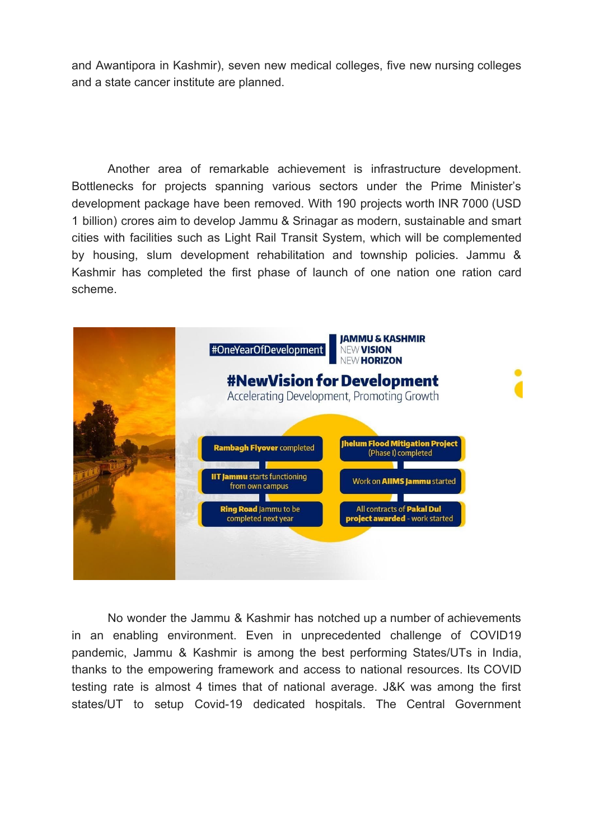and Awantipora in Kashmir), seven new medical colleges, five new nursing colleges and a state cancer institute are planned.

Another area of remarkable achievement is infrastructure development. Bottlenecks for projects spanning various sectors under the Prime Minister's development package have been removed. With 190 projects worth INR 7000 (USD 1 billion) crores aim to develop Jammu & Srinagar as modern, sustainable and smart cities with facilities such as Light Rail Transit System, which will be complemented by housing, slum development rehabilitation and township policies. Jammu & Kashmir has completed the first phase of launch of one nation one ration card scheme.



No wonder the Jammu & Kashmir has notched up a number of achievements in an enabling environment. Even in unprecedented challenge of COVID19 pandemic, Jammu & Kashmir is among the best performing States/UTs in India, thanks to the empowering framework and access to national resources. Its COVID testing rate is almost 4 times that of national average. J&K was among the first states/UT to setup Covid-19 dedicated hospitals. The Central Government